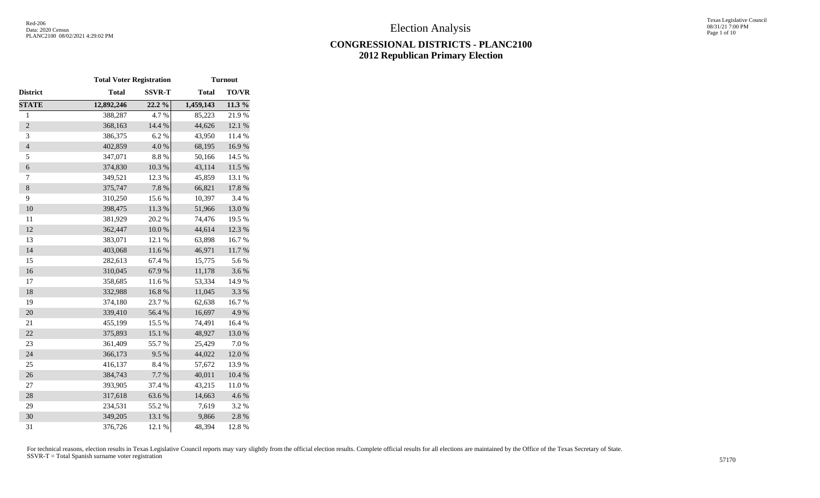# **CONGRESSIONAL DISTRICTS - PLANC2100 2012 Republican Primary Election**

|                | <b>Total Voter Registration</b> |               | <b>Turnout</b> |              |  |  |
|----------------|---------------------------------|---------------|----------------|--------------|--|--|
| District       | <b>Total</b>                    | <b>SSVR-T</b> | <b>Total</b>   | <b>TO/VR</b> |  |  |
| <b>STATE</b>   | 12,892,246                      | 22.2 %        | 1,459,143      | 11.3%        |  |  |
| $\mathbf{1}$   | 388,287                         | 4.7%          | 85,223         | 21.9%        |  |  |
| $\overline{c}$ | 368,163                         | 14.4 %        | 44,626         | 12.1%        |  |  |
| 3              | 386,375                         | 6.2%          | 43,950         | 11.4 %       |  |  |
| $\overline{4}$ | 402,859                         | 4.0%          | 68,195         | 16.9%        |  |  |
| 5              | 347,071                         | 8.8 %         | 50,166         | 14.5 %       |  |  |
| $\overline{6}$ | 374,830                         | $10.3~\%$     | 43,114         | $11.5~\%$    |  |  |
| 7              | 349,521                         | 12.3 %        | 45,859         | 13.1 %       |  |  |
| $\,8\,$        | 375,747                         | 7.8 %         | 66,821         | 17.8 %       |  |  |
| 9              | 310,250                         | 15.6%         | 10,397         | 3.4 %        |  |  |
| 10             | 398,475                         | $11.3\ \%$    | 51,966         | $13.0\ \%$   |  |  |
| 11             | 381,929                         | 20.2 %        | 74,476         | 19.5 %       |  |  |
| 12             | 362,447                         | $10.0~\%$     | 44,614         | 12.3 %       |  |  |
| 13             | 383,071                         | 12.1 %        | 63,898         | 16.7%        |  |  |
| 14             | 403,068                         | 11.6 %        | 46,971         | $11.7\ \%$   |  |  |
| 15             | 282,613                         | 67.4 %        | 15,775         | 5.6%         |  |  |
| 16             | 310,045                         | 67.9%         | 11,178         | 3.6 %        |  |  |
| 17             | 358,685                         | 11.6%         | 53,334         | 14.9%        |  |  |
| 18             | 332,988                         | 16.8 %        | 11,045         | 3.3 %        |  |  |
| 19             | 374,180                         | 23.7%         | 62,638         | 16.7%        |  |  |
| 20             | 339,410                         | 56.4 %        | 16,697         | 4.9%         |  |  |
| 21             | 455,199                         | 15.5 %        | 74,491         | 16.4%        |  |  |
| 22             | 375,893                         | 15.1 %        | 48,927         | 13.0%        |  |  |
| 23             | 361,409                         | 55.7%         | 25,429         | 7.0 %        |  |  |
| 24             | 366,173                         | 9.5%          | 44,022         | $12.0\ \%$   |  |  |
| 25             | 416,137                         | 8.4%          | 57,672         | 13.9%        |  |  |
| 26             | 384,743                         | 7.7 %         | 40,011         | 10.4%        |  |  |
| 27             | 393,905                         | 37.4 %        | 43,215         | 11.0%        |  |  |
| 28             | 317,618                         | 63.6%         | 14,663         | 4.6 %        |  |  |
| 29             | 234,531                         | 55.2 %        | 7,619          | 3.2 %        |  |  |
| 30             | 349,205                         | 13.1 %        | 9,866          | 2.8 %        |  |  |
| 31             | 376,726                         | 12.1 %        | 48,394         | 12.8%        |  |  |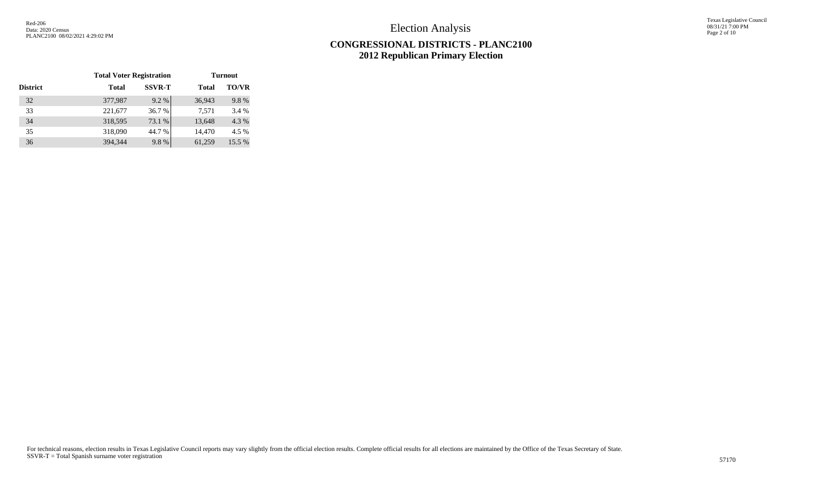Texas Legislative Council 08/31/21 7:00 PM Page 2 of 10

# **CONGRESSIONAL DISTRICTS - PLANC2100 2012 Republican Primary Election**

|                 | <b>Total Voter Registration</b> |               | <b>Turnout</b> |              |  |  |  |
|-----------------|---------------------------------|---------------|----------------|--------------|--|--|--|
| <b>District</b> | <b>Total</b>                    | <b>SSVR-T</b> | <b>Total</b>   | <b>TO/VR</b> |  |  |  |
| 32              | 377,987                         | 9.2%          | 36,943         | 9.8%         |  |  |  |
| 33              | 221,677                         | 36.7%         | 7.571          | 3.4 %        |  |  |  |
| 34              | 318,595                         | 73.1 %        | 13,648         | 4.3 %        |  |  |  |
| 35              | 318,090                         | 44.7 %        | 14,470         | 4.5 %        |  |  |  |
| 36              | 394,344                         | 9.8%          | 61,259         | 15.5 %       |  |  |  |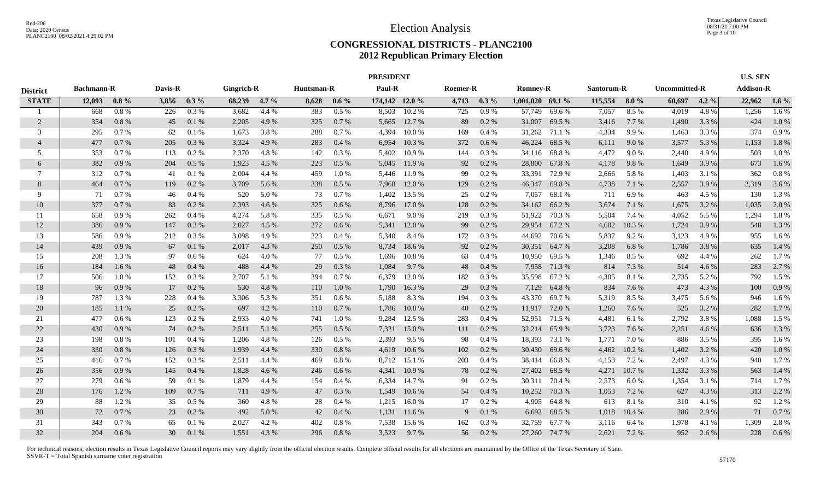#### **CONGRESSIONAL DISTRICTS - PLANC2100 2012 Republican Primary Election**

|                 |                   |         |         |          |            |         |            |         | <b>PRESIDENT</b> |        |          |         |                    |               |            |         |                      |         | <b>U.S. SEN</b>  |         |
|-----------------|-------------------|---------|---------|----------|------------|---------|------------|---------|------------------|--------|----------|---------|--------------------|---------------|------------|---------|----------------------|---------|------------------|---------|
| <b>District</b> | <b>Bachmann-R</b> |         | Davis-R |          | Gingrich-R |         | Huntsman-R |         | Paul-R           |        | Roemer-R |         | <b>Romney-R</b>    |               | Santorum-R |         | <b>Uncommitted-R</b> |         | <b>Addison-R</b> |         |
| <b>STATE</b>    | 12.093            | $0.8\%$ | 3,856   | $0.3\%$  | 68,239     | $4.7\%$ | 8,628      | $0.6\%$ | 174,142 12.0 %   |        | 4,713    | $0.3\%$ | $1.001.020$ 69.1 % |               | 115,554    | $8.0\%$ | 60,697               | $4.2\%$ | 22,962           | $1.6\%$ |
|                 | 668               | 0.8%    | 226     | 0.3%     | 3,682      | 4.4 %   | 383        | 0.5%    | 8.503            | 10.2%  | 725      | $0.9\%$ | 57,749             | 69.6%         | 7,057      | 8.5 %   | 4,019                | 4.8%    | 1,256            | 1.6%    |
| 2               | 354               | 0.8%    | 45      | 0.1%     | 2,205      | 4.9%    | 325        | 0.7%    | 5,665            | 12.7 % | 89       | $0.2\%$ | 31,007             | 69.5 %        | 3,416      | 7.7 %   | 1,490                | 3.3 %   | 424              | 1.0%    |
| 3               | 295               | 0.7%    | 62      | 0.1%     | 1,673      | 3.8%    | 288        | 0.7 %   | 4,394            | 10.0%  | 169      | 0.4%    | 31,262             | 71.1 %        | 4,334      | 9.9%    | 1,463                | 3.3 %   | 374              | 0.9%    |
| $\overline{4}$  | 477               | 0.7%    | 205     | 0.3 %    | 3,324      | 4.9 %   | 283        | 0.4%    | 6,954            | 10.3%  | 372      | 0.6 %   | 46,224             | 68.5 %        | 6,111      | 9.0%    | 3,577                | 5.3 %   | 1,153            | 1.8%    |
| 5               | 353               | 0.7%    | 113     | 0.2 %    | 2,370      | 4.8%    | 142        | 0.3%    | 5,402            | 10.9%  | 144      | 0.3 %   |                    | 34,116 68.8 % | 4,472      | 9.0%    | 2,440                | 4.9%    | 503              | 1.0%    |
| 6               | 382               | 0.9%    | 204     | $0.5\%$  | 1,923      | 4.5 %   | 223        | 0.5 %   | 5,045            | 11.9 % | 92       | 0.2 %   | 28,800             | 67.8%         | 4,178      | 9.8%    | 1,649                | 3.9 %   | 673              | 1.6 %   |
| $\tau$          | 312               | 0.7%    | 41      | 0.1%     | 2,004      | 4.4 %   | 459        | 1.0%    | 5.446            | 11.9 % | 99       | 0.2 %   | 33,391             | 72.9 %        | 2,666      | 5.8%    | 1,403                | 3.1 %   | 362              | 0.8%    |
| 8               | 464               | 0.7%    | 119     | $0.2 \%$ | 3,709      | 5.6 %   | 338        | $0.5\%$ | 7,968            | 12.0 % | 129      | 0.2 %   | 46,347             | 69.8%         | 4,738      | 7.1 %   | 2,557                | 3.9 %   | 2,319            | 3.6 %   |
| 9               | 71                | 0.7%    | 46      | 0.4%     | 520        | 5.0%    | 73         | 0.7%    | 1,402            | 13.5 % | 25       | 0.2 %   | 7,057              | 68.1 %        | 711        | 6.9%    | 463                  | 4.5 %   | 130              | 1.3 %   |
| 10              | 377               | 0.7%    | 83      | 0.2 %    | 2,393      | 4.6 %   | 325        | 0.6 %   | 8,796            | 17.0 % | 128      | 0.2 %   | 34,162             | 66.2%         | 3,674      | 7.1 %   | 1,675                | 3.2 %   | 1,035            | 2.0%    |
| -11             | 658               | 0.9%    | 262     | 0.4%     | 4,274      | 5.8%    | 335        | $0.5\%$ | 6,671            | 9.0%   | 219      | 0.3 %   | 51,922             | 70.3 %        | 5,504      | 7.4 %   | 4,052                | 5.5 %   | 1,294            | 1.8%    |
| 12              | 386               | 0.9%    | 147     | 0.3%     | 2,027      | 4.5 %   | 272        | 0.6%    | 5,341            | 12.0 % | 99       | 0.2 %   | 29,954             | 67.2 %        | 4,602      | 10.3%   | 1,724                | 3.9 %   | 548              | 1.3 %   |
| 13              | 586               | 0.9%    | 212     | 0.3 %    | 3,098      | 4.9%    | 223        | 0.4%    | 5,340            | 8.4 %  | 172      | 0.3 %   | 44,692             | 70.6 %        | 5,837      | 9.2 %   | 3,123                | 4.9 %   | 955              | 1.6 %   |
| 14              | 439               | 0.9%    | 67      | 0.1%     | 2,017      | 4.3 %   | 250        | $0.5\%$ | 8,734            | 18.6 % | 92       | 0.2 %   |                    | 30,351 64.7 % | 3,208      | 6.8%    | 1,786                | 3.8 %   | 635              | 1.4 %   |
| 15              | 208               | 1.3 %   | 97      | $0.6\%$  | 624        | 4.0%    | 77         | 0.5 %   | 1,696            | 10.8%  | 63       | 0.4%    |                    | 10,950 69.5 % | 1,346      | 8.5 %   | 692                  | 4.4 %   | 262              | 1.7%    |
| 16              | 184               | 1.6 %   | 48      | 0.4%     | 488        | 4.4 %   | 29         | 0.3%    | 1,084            | 9.7 %  | 48       | 0.4%    |                    | 7,958 71.3 %  | 814        | 7.3 %   | 514                  | 4.6 %   | 283              | 2.7 %   |
| 17              | 506               | 1.0%    | 152     | 0.3 %    | 2,707      | 5.1 %   | 394        | 0.7%    | 6.379            | 12.0 % | 182      | 0.3 %   | 35,598             | 67.2 %        | 4,305      | 8.1 %   | 2,735                | 5.2 %   | 792              | 1.5 %   |
| 18              | 96                | 0.9%    | 17      | 0.2 %    | 530        | 4.8%    | 110        | 1.0%    | 1,790            | 16.3%  | 29       | 0.3%    | 7,129              | 64.8%         | 834        | 7.6 %   | 473                  | 4.3 %   | 100              | 0.9%    |
| 19              | 787               | 1.3 %   | 228     | 0.4 %    | 3,306      | 5.3 %   | 351        | 0.6 %   | 5,188            | 8.3%   | 194      | 0.3 %   | 43,370             | 69.7 %        | 5,319      | 8.5 %   | 3,475                | 5.6 %   | 946              | 1.6 %   |
| 20              | 185               | 1.1 %   | 25      | $0.2 \%$ | 697        | 4.2 %   | 110        | 0.7%    | 1,786            | 10.8%  | 40       | 0.2 %   | 11,917             | 72.0 %        | 1,260      | 7.6 %   | 525                  | 3.2 %   | 282              | 1.7%    |
| 21              | 477               | 0.6 %   | 123     | $0.2\%$  | 2,933      | 4.0%    | 741        | 1.0%    | 9,284            | 12.5 % | 283      | 0.4%    | 52,951             | 71.5 %        | 4,481      | 6.1 %   | 2,792                | 3.8%    | 1,088            | 1.5 %   |
| 22              | 430               | 0.9%    | 74      | $0.2 \%$ | 2,511      | 5.1 %   | 255        | 0.5%    | 7,321            | 15.0 % | 111      | 0.2 %   | 32,214             | 65.9%         | 3,723      | 7.6 %   | 2,251                | 4.6 %   | 636              | 1.3 %   |
| 23              | 198               | 0.8%    | 101     | 0.4%     | 1,206      | 4.8%    | 126        | $0.5\%$ | 2,393            | 9.5 %  | 98       | 0.4%    | 18,393             | 73.1 %        | 1,771      | 7.0 %   | 886                  | 3.5 %   | 395              | 1.6 %   |
| 24              | 330               | 0.8%    | 126     | 0.3%     | 1,939      | 4.4 %   | 330        | 0.8%    | 4,619            | 10.6%  | 102      | 0.2 %   | 30,430             | 69.6%         | 4,462      | 10.2 %  | 1,402                | 3.2 %   | 420              | 1.0%    |
| 25              | 416               | 0.7%    | 152     | 0.3 %    | 2,511      | 4.4 %   | 469        | 0.8%    | 8,712            | 15.1 % | 203      | 0.4%    | 38,414             | 66.8%         | 4,153      | 7.2 %   | 2,497                | 4.3 %   | 940              | 1.7%    |
| 26              | 356               | 0.9%    | 145     | 0.4%     | 1,828      | 4.6 %   | 246        | 0.6%    | 4,341            | 10.9%  | 78       | $0.2\%$ | 27,402             | 68.5 %        | 4,271      | 10.7 %  | 1,332                | 3.3 %   | 563              | 1.4 %   |
| 27              | 279               | $0.6\%$ | 59      | 0.1%     | 1,879      | 4.4 %   | 154        | 0.4%    | 6.334            | 14.7 % | 91       | 0.2 %   | 30,311             | 70.4 %        | 2,573      | 6.0%    | 1,354                | 3.1 %   | 714              | 1.7%    |
| 28              | 176               | 1.2%    | 109     | 0.7%     | 711        | 4.9 %   | 47         | 0.3 %   | 1,549            | 10.6%  | 54       | 0.4%    | 10,252             | 70.3 %        | 1,053      | 7.2 %   | 627                  | 4.3 %   | 313              | 2.2 %   |
| 29              | 88                | 1.2%    | 35      | $0.5\%$  | 360        | 4.8%    | 28         | 0.4%    | 1,215            | 16.0%  | 17       | 0.2 %   | 4,905              | 64.8 %        | 613        | 8.1%    | 310                  | 4.1 %   | 92               | $1.2\%$ |
| 30              | 72                | 0.7%    | 23      | $0.2 \%$ | 492        | 5.0 %   | 42         | 0.4%    | 1,131            | 11.6 % | 9        | 0.1%    | 6,692              | 68.5 %        | 1,018      | 10.4 %  | 286                  | 2.9 %   | 71               | 0.7%    |
| 31              | 343               | 0.7%    | 65      | 0.1%     | 2,027      | 4.2 %   | 402        | 0.8%    | 7,538            | 15.6 % | 162      | 0.3 %   | 32,759             | 67.7 %        | 3,116      | 6.4 %   | 1,978                | 4.1 %   | 1,309            | 2.8%    |
| 32              | 204               | 0.6%    | 30      | 0.1%     | 1,551      | 4.3 %   | 296        | 0.8%    | 3,523            | 9.7 %  | 56       | 0.2 %   |                    | 27,260 74.7 % | 2,621      | 7.2 %   | 952                  | 2.6 %   | 228              | $0.6\%$ |
|                 |                   |         |         |          |            |         |            |         |                  |        |          |         |                    |               |            |         |                      |         |                  |         |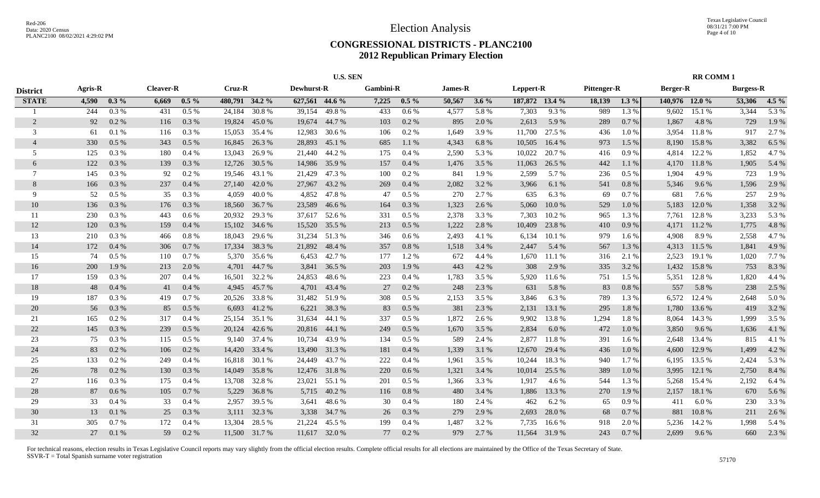#### **CONGRESSIONAL DISTRICTS - PLANC2100 2012 Republican Primary Election**

|                 | <b>U.S. SEN</b> |          |                  |         |        |                |                   |               |                  |         |                |         | <b>RR COMM1</b> |               |             |         |                |        |                  |         |
|-----------------|-----------------|----------|------------------|---------|--------|----------------|-------------------|---------------|------------------|---------|----------------|---------|-----------------|---------------|-------------|---------|----------------|--------|------------------|---------|
| <b>District</b> | <b>Agris-R</b>  |          | <b>Cleaver-R</b> |         | Cruz-R |                | <b>Dewhurst-R</b> |               | <b>Gambini-R</b> |         | <b>James-R</b> |         | Leppert-R       |               | Pittenger-R |         | Berger-R       |        | <b>Burgess-R</b> |         |
| <b>STATE</b>    | 4,590           | $0.3\%$  | 6,669            | $0.5\%$ |        | 480,791 34.2 % | 627,561 44.6 %    |               | 7,225            | $0.5\%$ | 50,567         | $3.6\%$ | 187,872 13.4 %  |               | 18,139      | $1.3\%$ | 140,976 12.0 % |        | 53,306           | $4.5\%$ |
|                 | 244             | 0.3%     | 431              | 0.5%    | 24,184 | 30.8%          | 39,154            | 49.8%         | 433              | $0.6\%$ | 4,577          | 5.8 %   | 7,303           | 9.3 %         | 989         | 1.3 %   | 9,602          | 15.1 % | 3,344            | 5.3 %   |
| $\overline{2}$  | 92              | $0.2 \%$ | 116              | 0.3 %   | 19,824 | 45.0 %         | 19,674            | 44.7%         | 103              | 0.2 %   | 895            | 2.0 %   | 2,613           | 5.9 %         | 289         | 0.7%    | 1,867          | 4.8%   | 729              | 1.9%    |
| 3               | 61              | 0.1%     | 116              | 0.3 %   | 15,053 | 35.4 %         | 12,983            | 30.6 %        | 106              | $0.2\%$ | 1,649          | 3.9%    | 11,700          | 27.5 %        | 436         | 1.0 %   | 3,954          | 11.8%  | 917              | 2.7 %   |
| $\overline{4}$  | 330             | 0.5%     | 343              | 0.5%    | 16,845 | 26.3%          | 28,893            | 45.1 %        | 685              | 1.1%    | 4,343          | 6.8%    | 10,505          | 16.4 %        | 973         | 1.5 %   | 8,190          | 15.8%  | 3,382            | 6.5 %   |
| 5               | 125             | 0.3%     | 180              | 0.4%    | 13.043 | 26.9%          | 21,440            | 44.2%         | 175              | 0.4%    | 2,590          | 5.3 %   | 10,022          | 20.7%         | 416         | 0.9%    | 4,814          | 12.2 % | 1,852            | 4.7%    |
| 6               | 122             | 0.3 %    | 139              | 0.3%    | 12,726 | 30.5 %         | 14,986            | 35.9%         | 157              | 0.4%    | 1,476          | 3.5 %   | 11,063          | 26.5 %        | 442         | 1.1 %   | 4,170          | 11.8%  | 1,905            | 5.4 %   |
| 7               | 145             | 0.3%     | 92               | 0.2 %   |        | 19,546 43.1 %  | 21,429            | 47.3 %        | 100              | 0.2 %   | 841            | 1.9 %   | 2,599           | 5.7 %         | 236         | $0.5\%$ | 1,904          | 4.9 %  | 723              | 1.9%    |
| 8               | 166             | 0.3 %    | 237              | 0.4%    |        | 27,140 42.0 %  | 27,967            | 43.2 %        | 269              | 0.4%    | 2,082          | 3.2 %   | 3,966           | 6.1 %         | 541         | 0.8%    | 5,346          | 9.6 %  | 1,596            | 2.9 %   |
| 9               | 52              | $0.5\%$  | 35               | 0.3%    | 4,059  | 40.0 %         | 4,852             | 47.8%         | 47               | 0.5%    | 270            | 2.7 %   | 635             | 6.3%          | 69          | 0.7%    | 681            | 7.6 %  | 257              | 2.9 %   |
| 10              | 136             | 0.3 %    | 176              | 0.3 %   | 18,560 | 36.7 %         | 23,589            | 46.6 %        | 164              | 0.3 %   | 1,323          | 2.6 %   | 5,060           | 10.0%         | 529         | 1.0%    | 5,183          | 12.0%  | 1,358            | 3.2 %   |
| 11              | 230             | $0.3\%$  | 443              | $0.6\%$ | 20,932 | 29.3 %         | 37,617            | 52.6 %        | 331              | $0.5\%$ | 2,378          | 3.3 %   | 7,303           | 10.2 %        | 965         | 1.3 %   | 7,761          | 12.8%  | 3,233            | 5.3 %   |
| 12              | 120             | 0.3%     | 159              | 0.4%    | 15,102 | 34.6 %         | 15,520            | 35.5 %        | 213              | 0.5%    | 1,222          | 2.8%    | 10,409          | 23.8 %        | 410         | 0.9%    | 4,171          | 11.2%  | 1,775            | 4.8%    |
| 13              | 210             | $0.3\%$  | 466              | 0.8%    | 18,043 | 29.6 %         | 31,234            | 51.3%         | 346              | $0.6\%$ | 2,493          | 4.1 %   | 6,134           | 10.1 %        | 979         | 1.6 %   | 4,908          | 8.9%   | 2,558            | 4.7%    |
| 14              | 172             | 0.4%     | 306              | 0.7%    | 17,334 | 38.3 %         | 21,892            | 48.4 %        | 357              | 0.8%    | 1,518          | 3.4 %   | 2,447           | 5.4 %         | 567         | 1.3 %   | 4,313          | 11.5 % | 1,841            | 4.9%    |
| 15              | 74              | 0.5%     | 110              | 0.7%    |        | 5,370 35.6 %   | 6,453             | 42.7%         | 177              | 1.2%    | 672            | 4.4 %   | 1,670           | 11.1 %        | 316         | 2.1 %   | 2,523          | 19.1 % | 1,020            | 7.7 %   |
| 16              | 200             | 1.9 %    | 213              | 2.0 %   | 4,701  | 44.7 %         | 3,841             | 36.5 %        | 203              | 1.9%    | 443            | 4.2 %   | 308             | 2.9 %         | 335         | 3.2 %   | 1,432          | 15.8%  | 753              | 8.3%    |
| 17              | 159             | $0.3\%$  | 207              | 0.4%    | 16,501 | 32.2 %         | 24,853            | 48.6 %        | 223              | $0.4\%$ | 1,783          | 3.5 %   | 5,920           | 11.6 %        | 751         | 1.5 %   | 5,351          | 12.8 % | 1,820            | 4.4 %   |
| 18              | 48              | 0.4%     | 41               | 0.4%    | 4,945  | 45.7 %         | 4,701             | 43.4 %        | 27               | 0.2 %   | 248            | 2.3 %   | 631             | 5.8 %         | 83          | 0.8%    | 557            | 5.8 %  | 238              | 2.5 %   |
| 19              | 187             | 0.3 %    | 419              | 0.7%    | 20,526 | 33.8%          | 31,482            | 51.9%         | 308              | $0.5\%$ | 2,153          | 3.5 %   | 3,846           | 6.3%          | 789         | 1.3%    | 6,572          | 12.4 % | 2,648            | 5.0%    |
| 20              | 56              | 0.3 %    | 85               | $0.5\%$ | 6,693  | 41.2 %         | 6,221             | 38.3 %        | 83               | 0.5%    | 381            | 2.3 %   | 2,131           | 13.1 %        | 295         | 1.8 %   | 1,780          | 13.6 % | 419              | 3.2 %   |
| 21              | 165             | 0.2 %    | 317              | 0.4%    | 25,154 | 35.1 %         | 31,634            | 44.1 %        | 337              | $0.5\%$ | 1,872          | 2.6 %   | 9,902           | 13.8%         | 1,294       | 1.8%    | 8,064          | 14.3 % | 1,999            | 3.5 %   |
| 22              | 145             | 0.3 %    | 239              | 0.5%    | 20,124 | 42.6 %         | 20,816            | 44.1 %        | 249              | 0.5%    | 1,670          | 3.5 %   | 2,834           | 6.0%          | 472         | 1.0%    | 3,850          | 9.6 %  | 1,636            | 4.1 %   |
| 23              | 75              | 0.3%     | 115              | 0.5%    |        | 9,140 37.4 %   | 10,734            | 43.9%         | 134              | 0.5 %   | 589            | 2.4 %   | 2,877           | 11.8%         | 391         | 1.6 %   | 2,648          | 13.4 % | 815              | 4.1 %   |
| 24              | 83              | 0.2 %    | 106              | 0.2 %   | 14,420 | 33.4 %         | 13,490            | 31.3 %        | 181              | 0.4%    | 1,339          | 3.1 %   | 12,670          | 29.4 %        | 436         | 1.0%    | 4,600          | 12.9 % | 1,499            | 4.2 %   |
| 25              | 133             | 0.2 %    | 249              | 0.4%    | 16,818 | 30.1 %         | 24,449            | 43.7 %        | 222              | $0.4\%$ | 1,961          | 3.5 %   | 10,244          | 18.3%         | 940         | 1.7 %   | 6,195          | 13.5 % | 2,424            | 5.3 %   |
| 26              | 78              | 0.2 %    | 130              | 0.3 %   | 14,049 | 35.8%          | 12,476            | 31.8%         | 220              | 0.6 %   | 1,321          | 3.4 %   | 10,014          | 25.5 %        | 389         | 1.0 %   | 3,995          | 12.1 % | 2,750            | 8.4 %   |
| 27              | 116             | 0.3 %    | 175              | 0.4%    | 13,708 | 32.8%          | 23,021            | 55.1 %        | 201              | $0.5\%$ | 1,366          | 3.3 %   | 1,917           | 4.6 %         | 544         | 1.3%    | 5,268          | 15.4 % | 2,192            | 6.4 %   |
| 28              | 87              | 0.6 %    | 105              | 0.7%    | 5,229  | 36.8%          | 5,715             | 40.2 %        | 116              | 0.8 %   | 480            | 3.4 %   | 1,886           | 13.3 %        | 270         | 1.9 %   | 2,157          | 18.1 % | 670              | 5.6 %   |
| 29              | 33              | 0.4%     | 33               | 0.4%    | 2,957  | 39.5 %         | 3,641             | 48.6%         | 30               | 0.4%    | 180            | 2.4 %   | 462             | 6.2%          | 65          | 0.9%    | 411            | 6.0%   | 230              | 3.3 %   |
| 30              | 13              | 0.1%     | 25               | 0.3 %   | 3,111  | 32.3 %         | 3,338             | 34.7 %        | 26               | 0.3%    | 279            | 2.9 %   | 2,693           | 28.0 %        | 68          | 0.7%    | 881            | 10.8%  | 211              | 2.6 %   |
| 31              | 305             | 0.7%     | 172              | 0.4%    | 13,304 | 28.5 %         | 21,224            | 45.5 %        | 199              | 0.4%    | 1,487          | 3.2 %   | 7,735           | 16.6%         | 918         | 2.0%    | 5.236          | 14.2 % | 1,998            | 5.4 %   |
| 32              | 27              | 0.1%     | 59               | $0.2\%$ |        | 11,500 31.7 %  |                   | 11,617 32.0 % | 77               | 0.2 %   | 979            | 2.7 %   |                 | 11,564 31.9 % | 243         | 0.7%    | 2,699          | 9.6%   | 660              | 2.3 %   |
|                 |                 |          |                  |         |        |                |                   |               |                  |         |                |         |                 |               |             |         |                |        |                  |         |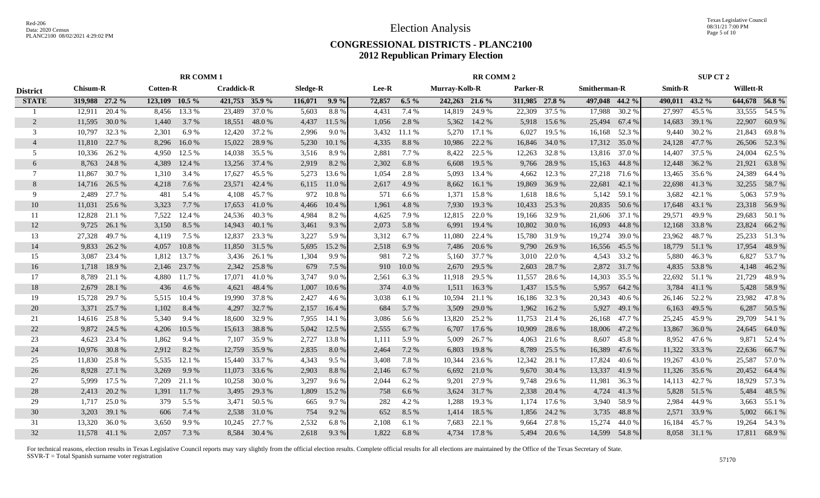Texas Legislative Council 08/31/21 7:00 PM Page 5 of 10

#### **CONGRESSIONAL DISTRICTS - PLANC2100 2012 Republican Primary Election**

|                 | <b>RR COMM1</b> |               |                     |        |                   | <b>RR COMM 2</b> |          |         |        |         |                      | <b>SUP CT 2</b> |                |               |                     |        |                |               |                  |               |
|-----------------|-----------------|---------------|---------------------|--------|-------------------|------------------|----------|---------|--------|---------|----------------------|-----------------|----------------|---------------|---------------------|--------|----------------|---------------|------------------|---------------|
| <b>District</b> | <b>Chisum-R</b> |               | <b>Cotten-R</b>     |        | <b>Craddick-R</b> |                  | Sledge-R |         | Lee-R  |         | <b>Murray-Kolb-R</b> |                 | Parker-R       |               | <b>Smitherman-R</b> |        | <b>Smith-R</b> |               | <b>Willett-R</b> |               |
| <b>STATE</b>    | 319,988 27.2 %  |               | $123, 109$ $10.5\%$ |        | 421,753 35.9 %    |                  | 116,071  | $9.9\%$ | 72,857 | $6.5\%$ | 242,263 21.6 %       |                 | 311,985 27.8 % |               | 497,048 44.2 %      |        | 490,011 43.2 % |               |                  | 644,678 56.8% |
|                 | 12,911          | 20.4 %        | 8,456               | 13.3 % | 23,489            | 37.0 %           | 5,603    | 8.8%    | 4,431  | 7.4 %   | 14,819               | 24.9 %          | 22,309         | 37.5 %        | 17,988              | 30.2 % | 27,997         | 45.5 %        | 33,555           | 54.5 %        |
| 2               | 11,595          | 30.0%         | 1,440               | 3.7 %  | 18,551            | 48.0%            | 4,437    | 11.5 %  | 1,056  | 2.8%    | 5,362                | 14.2 %          | 5,918          | 15.6 %        | 25,494              | 67.4 % | 14,683         | 39.1 %        | 22,907           | 60.9%         |
| 3               | 10,797          | 32.3 %        | 2,301               | 6.9%   | 12,420            | 37.2 %           | 2,996    | 9.0%    | 3,432  | 11.1%   | 5,270                | 17.1 %          | 6,027          | 19.5 %        | 16,168              | 52.3 % |                | 9,440 30.2 %  | 21,843           | 69.8%         |
| $\overline{4}$  | 11,810          | 22.7 %        | 8,296               | 16.0%  | 15,022            | 28.9%            | 5,230    | 10.1 %  | 4,335  | 8.8%    | 10,986               | 22.2 %          | 16,846         | 34.0%         | 17,312              | 35.0%  |                | 24,128 47.7 % | 26,506           | 52.3 %        |
| 5               | 10,336          | 26.2 %        | 4,950               | 12.5 % | 14,038            | 35.5 %           | 3,516    | 8.9%    | 2,881  | 7.7 %   | 8,422                | 22.5 %          | 12,263         | 32.8%         | 13,816              | 37.0%  | 14,407         | 37.5 %        | 24,004           | 62.5 %        |
| 6               | 8,763           | 24.8%         | 4,389               | 12.4 % | 13,256            | 37.4 %           | 2,919    | 8.2%    | 2,302  | 6.8%    | 6,608                | 19.5 %          | 9,766          | 28.9%         | 15,163              | 44.8%  |                | 12,448 36.2 % | 21,921           | 63.8%         |
| 7               | 11,867          | 30.7 %        | 1,310               | 3.4 %  | 17,627            | 45.5 %           | 5,273    | 13.6 %  | 1,054  | 2.8%    | 5,093                | 13.4 %          | 4,662          | 12.3 %        | 27,218              | 71.6 % | 13,465         | 35.6 %        | 24,389           | 64.4 %        |
| 8               | 14,716          | 26.5 %        | 4,218               | 7.6 %  | 23,571            | 42.4 %           | 6,115    | 11.0%   | 2,617  | 4.9%    | 8,662                | 16.1 %          | 19,869         | 36.9%         | 22,681              | 42.1 % | 22,698         | 41.3%         | 32,255           | 58.7%         |
| 9               | 2,489           | 27.7 %        | 481                 | 5.4 %  | 4,108             | 45.7 %           | 972      | 10.8%   | 571    | 6.6%    | 1,371                | 15.8%           | 1,618          | 18.6%         | 5,142               | 59.1 % | 3,682          | 42.1 %        | 5,063            | 57.9 %        |
| 10              | 11,031          | 25.6 %        | 3,323               | 7.7 %  | 17,653            | 41.0%            | 4,466    | 10.4 %  | 1,961  | 4.8 %   | 7,930                | 19.3%           | 10,433         | 25.3 %        | 20,835              | 50.6%  | 17,648         | 43.1 %        | 23,318           | 56.9%         |
| 11              | 12,828          | 21.1 %        | 7,522               | 12.4 % | 24,536            | 40.3%            | 4,984    | 8.2 %   | 4,625  | 7.9%    | 12,815               | 22.0 %          | 19,166         | 32.9 %        | 21,606              | 37.1 % | 29,571         | 49.9%         | 29,683           | 50.1 %        |
| 12              | 9,725           | 26.1 %        | 3,150               | 8.5 %  | 14,943            | 40.1%            | 3,461    | 9.3%    | 2,073  | 5.8%    | 6,991                | 19.4 %          | 10,802         | 30.0 %        | 16,093              | 44.8%  |                | 12,168 33.8 % | 23,824           | 66.2%         |
| 13              | 27,328          | 49.7%         | 4,119               | 7.5 %  | 12,837            | 23.3 %           | 3,227    | 5.9 %   | 3,312  | 6.7 %   | 11,080               | 22.4 %          |                | 15,780 31.9 % | 19,274              | 39.0%  | 23,962         | 48.7%         | 25,233           | 51.3%         |
| 14              | 9,833           | 26.2 %        | 4,057               | 10.8%  | 11,850            | 31.5 %           | 5,695    | 15.2 %  | 2,518  | 6.9%    | 7,486                | 20.6 %          | 9,790          | 26.9%         | 16,556              | 45.5 % |                | 18,779 51.1 % | 17,954           | 48.9%         |
| 15              | 3,087           | 23.4 %        | 1,812               | 13.7 % | 3,436             | 26.1 %           | 1,304    | 9.9 %   | 981    | 7.2 %   | 5,160                | 37.7 %          | 3,010          | 22.0%         | 4,543               | 33.2 % |                | 5,880 46.3%   | 6,827            | 53.7%         |
| 16              | 1,718           | 18.9%         | 2,146               | 23.7 % | 2,342             | 25.8%            | 679      | 7.5 %   | 910    | 10.0%   | 2,670                | 29.5 %          | 2,603          | 28.7 %        | 2,872               | 31.7 % |                | 4,835 53.8 %  | 4,148            | 46.2%         |
| 17              | 8,789           | 21.1 %        | 4,880               | 11.7 % | 17,071            | 41.0%            | 3,747    | 9.0%    | 2,561  | 6.3%    | 11,918               | 29.5 %          | 11,557         | 28.6 %        | 14,303              | 35.5 % | 22,692         | 51.1 %        | 21,729           | 48.9%         |
| 18              | 2,679           | 28.1 %        | 436                 | 4.6 %  | 4,621             | 48.4 %           | 1,007    | 10.6%   | 374    | 4.0%    | 1,511                | 16.3 %          | 1,437          | 15.5 %        | 5,957               | 64.2 % | 3,784          | 41.1 %        | 5,428            | 58.9%         |
| 19              | 15,728          | 29.7 %        | 5,515               | 10.4 % | 19,990            | 37.8%            | 2,427    | 4.6 %   | 3,038  | 6.1 %   | 10,594               | 21.1 %          | 16,186         | 32.3 %        | 20,343              | 40.6%  | 26,146         | 52.2 %        | 23,982           | 47.8%         |
| 20              | 3,371           | 25.7 %        | 1,102               | 8.4 %  | 4,297             | 32.7 %           | 2,157    | 16.4 %  | 684    | 5.7 %   | 3,509                | 29.0 %          | 1,962          | 16.2%         | 5,927               | 49.1 % | 6,163          | 49.5 %        | 6,287            | 50.5 %        |
| 21              | 14,616          | 25.8%         | 5,340               | 9.4 %  | 18,600            | 32.9 %           | 7,955    | 14.1 %  | 3,086  | 5.6 %   | 13,820               | 25.2 %          | 11,753         | 21.4 %        | 26,168              | 47.7 % |                | 25,245 45.9 % | 29,709           | 54.1 %        |
| 22              | 9,872           | 24.5 %        | 4,206               | 10.5 % | 15,613            | 38.8%            | 5,042    | 12.5 %  | 2,555  | 6.7%    | 6,707                | 17.6 %          | 10,909         | 28.6%         | 18,006              | 47.2 % | 13,867         | 36.0%         | 24,645           | 64.0%         |
| 23              | 4,623           | 23.4 %        | 1,862               | 9.4 %  | 7,107             | 35.9%            | 2,727    | 13.8%   | 1,111  | 5.9%    | 5,009                | 26.7%           | 4,063          | 21.6 %        | 8,607               | 45.8%  | 8.952          | 47.6 %        | 9,871            | 52.4 %        |
| 24              | 10,976          | 30.8%         | 2,912               | 8.2%   | 12,759            | 35.9%            | 2,835    | 8.0%    | 2,464  | 7.2 %   | 6,803                | 19.8%           | 8,789          | 25.5 %        | 16,389              | 47.6%  | 11,322         | 33.3 %        | 22,636           | 66.7%         |
| 25              | 11,830          | 25.8%         | 5,535               | 12.1 % | 15,440            | 33.7 %           | 4,343    | 9.5 %   | 3,408  | 7.8%    | 10,344               | 23.6 %          | 12,342         | 28.1 %        | 17,824              | 40.6 % | 19,267         | 43.0 %        | 25,587           | 57.0%         |
| 26              | 8,928           | 27.1 %        | 3,269               | 9.9%   | 11,073            | 33.6 %           | 2,903    | 8.8%    | 2,146  | 6.7 %   | 6,692                | 21.0 %          | 9,670          | 30.4 %        | 13,337              | 41.9%  | 11,326         | 35.6 %        | 20,452           | 64.4 %        |
| 27              | 5,999           | 17.5 %        | 7,209               | 21.1 % | 10,258            | 30.0%            | 3,297    | 9.6 %   | 2,044  | 6.2%    | 9,201                | 27.9 %          | 9,748          | 29.6%         | 11,981              | 36.3%  | 14,113         | 42.7 %        | 18,929           | 57.3 %        |
| 28              | 2,413           | 20.2 %        | 1,391               | 11.7 % | 3,495             | 29.3 %           | 1,809    | 15.2 %  | 758    | 6.6 %   | 3,624                | 31.7 %          | 2,338          | 20.4 %        | 4,724               | 41.3%  |                | 5,828 51.5 %  | 5,484            | 48.5 %        |
| 29              | 1,717           | 25.0%         | 379                 | 5.5 %  | 3,471             | 50.5 %           | 665      | 9.7%    | 282    | 4.2 %   | 1,288                | 19.3 %          | 1,174          | 17.6 %        | 3,940               | 58.9%  | 2,984          | 44.9%         | 3,663            | 55.1 %        |
| 30              | 3,203           | 39.1 %        | 606                 | 7.4 %  | 2,538             | 31.0%            | 754      | 9.2 %   | 652    | 8.5%    | 1,414                | 18.5 %          | 1,856          | 24.2 %        | 3,735               | 48.8%  | 2,571          | 33.9%         | 5,002            | 66.1%         |
| 31              | 13,320          | 36.0%         | 3,650               | 9.9%   | 10,245            | 27.7 %           | 2,532    | 6.8%    | 2,108  | 6.1 %   | 7,683                | 22.1 %          | 9,664          | 27.8%         | 15,274              | 44.0%  | 16,184         | 45.7%         | 19,264           | 54.3 %        |
| 32              |                 | 11,578 41.1 % | 2,057               | 7.3 %  |                   | 8,584 30.4 %     | 2,618    | 9.3%    | 1,822  | 6.8%    | 4.734                | 17.8%           |                | 5,494 20.6 %  | 14,599              | 54.8%  |                | 8,058 31.1 %  |                  | 17,811 68.9 % |
|                 |                 |               |                     |        |                   |                  |          |         |        |         |                      |                 |                |               |                     |        |                |               |                  |               |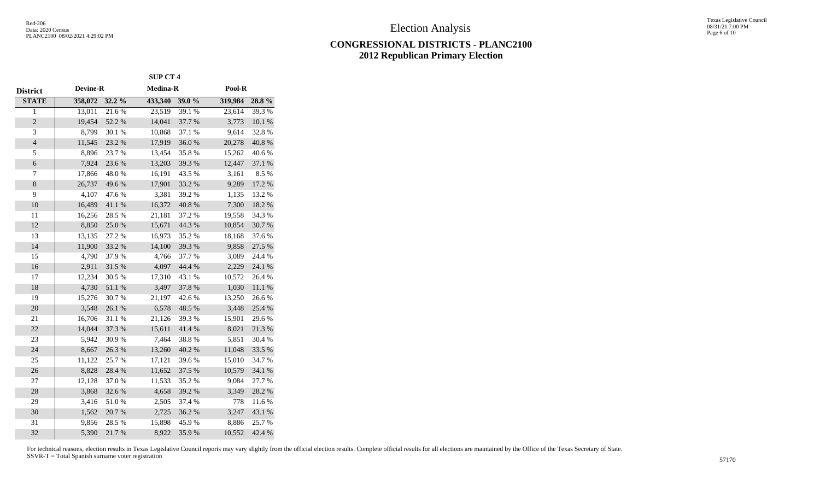Texas Legislative Council 08/31/21 7:00 PM Page 6 of 10

#### **CONGRESSIONAL DISTRICTS - PLANC2100 2012 Republican Primary Election**

|                          | <b>SUP CT 4</b> |            |                 |        |         |            |  |  |  |
|--------------------------|-----------------|------------|-----------------|--------|---------|------------|--|--|--|
| District                 | <b>Devine-R</b> |            | <b>Medina-R</b> |        | Pool-R  |            |  |  |  |
| <b>STATE</b>             | 358,072         | 32.2 %     | 433,340         | 39.0 % | 319,984 | 28.8%      |  |  |  |
| 1                        | 13,011          | 21.6%      | 23,519          | 39.1 % | 23,614  | 39.3%      |  |  |  |
| $\overline{c}$           | 19,454          | 52.2 %     | 14,041          | 37.7 % | 3,773   | 10.1 %     |  |  |  |
| $\mathfrak{Z}$           | 8,799           | 30.1 %     | 10,868          | 37.1 % | 9,614   | 32.8%      |  |  |  |
| $\overline{\mathcal{L}}$ | 11,545          | 23.2 %     | 17,919          | 36.0%  | 20,278  | 40.8%      |  |  |  |
| 5                        | 8,896           | 23.7 %     | 13,454          | 35.8%  | 15,262  | 40.6%      |  |  |  |
| $\boldsymbol{6}$         | 7,924           | 23.6 %     | 13,203          | 39.3%  | 12,447  | 37.1 %     |  |  |  |
| 7                        | 17,866          | 48.0%      | 16,191          | 43.5 % | 3,161   | 8.5%       |  |  |  |
| $\,8\,$                  | 26,737          | 49.6%      | 17,901          | 33.2 % | 9,289   | 17.2 %     |  |  |  |
| 9                        | 4,107           | 47.6%      | 3,381           | 39.2 % | 1,135   | 13.2 %     |  |  |  |
| $10\,$                   | 16,489          | 41.1 %     | 16,372          | 40.8 % | 7,300   | 18.2%      |  |  |  |
| 11                       | 16,256          | 28.5 %     | 21,181          | 37.2 % | 19,558  | 34.3 %     |  |  |  |
| 12                       | 8,850           | 25.0%      | 15,671          | 44.3 % | 10,854  | 30.7%      |  |  |  |
| 13                       | 13,135          | 27.2 %     | 16,973          | 35.2%  | 18,168  | 37.6%      |  |  |  |
| 14                       | 11,900          | 33.2 %     | 14,100          | 39.3%  | 9,858   | 27.5 %     |  |  |  |
| 15                       | 4,790           | 37.9%      | 4,766           | 37.7 % | 3,089   | 24.4 %     |  |  |  |
| 16                       | 2,911           | 31.5 %     | 4,097           | 44.4 % | 2,229   | 24.1 %     |  |  |  |
| 17                       | 12,234          | 30.5 %     | 17,310          | 43.1 % | 10,572  | 26.4 %     |  |  |  |
| 18                       | 4,730           | $51.1\ \%$ | 3,497           | 37.8 % | 1,030   | 11.1 %     |  |  |  |
| 19                       | 15,276          | 30.7%      | 21,197          | 42.6%  | 13,250  | 26.6%      |  |  |  |
| 20                       | 3,548           | $26.1\ \%$ | 6,578           | 48.5 % | 3,448   | 25.4 %     |  |  |  |
| 21                       | 16,706          | 31.1 %     | 21,126          | 39.3%  | 15,901  | 29.6%      |  |  |  |
| 22                       | 14,044          | 37.3 %     | 15,611          | 41.4 % | 8,021   | 21.3%      |  |  |  |
| 23                       | 5,942           | 30.9%      | 7,464           | 38.8%  | 5,851   | 30.4 %     |  |  |  |
| 24                       | 8,667           | 26.3 %     | 13,260          | 40.2 % | 11,048  | 33.5 %     |  |  |  |
| 25                       | 11,122          | 25.7%      | 17,121          | 39.6%  | 15,010  | 34.7%      |  |  |  |
| 26                       | 8,828           | 28.4 %     | 11,652          | 37.5 % | 10,579  | 34.1 %     |  |  |  |
| 27                       | 12,128          | 37.0%      | 11,533          | 35.2%  | 9,084   | $27.7\ \%$ |  |  |  |
| 28                       | 3,868           | 32.6%      | 4,658           | 39.2 % | 3,349   | 28.2%      |  |  |  |
| 29                       | 3,416           | 51.0%      | 2,505           | 37.4 % | 778     | 11.6 %     |  |  |  |
| 30                       | 1,562           | 20.7 %     | 2,725           | 36.2%  | 3,247   | 43.1 %     |  |  |  |
| 31                       | 9,856           | 28.5 %     | 15,898          | 45.9%  | 8,886   | 25.7%      |  |  |  |
| 32                       | 5,390           | 21.7%      | 8,922           | 35.9%  | 10,552  | 42.4 %     |  |  |  |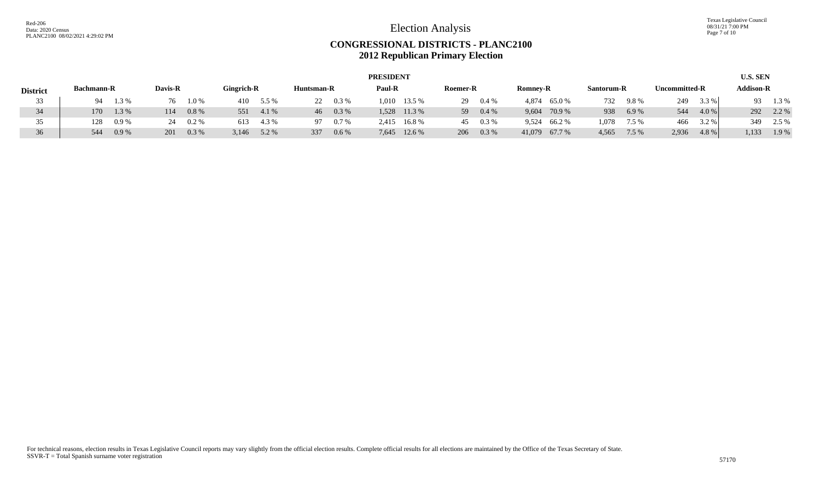Texas Legislative Council 08/31/21 7:00 PM Page 7 of 10

## **CONGRESSIONAL DISTRICTS - PLANC2100 2012 Republican Primary Election**

|                 |                   | <b>PRESIDENT</b> |         |           |            |       |            |         |        |              |          |         |                 |               |            |         | <b>U.S. SEN</b>      |       |           |       |
|-----------------|-------------------|------------------|---------|-----------|------------|-------|------------|---------|--------|--------------|----------|---------|-----------------|---------------|------------|---------|----------------------|-------|-----------|-------|
| <b>District</b> | <b>Bachmann-R</b> |                  | Davis-R |           | Gingrich-R |       | Huntsman-R |         | Paul-R |              | Roemer-R |         | <b>Romney-R</b> |               | Santorum-R |         | <b>Uncommitted-R</b> |       | Addison-R |       |
| 33              | 94.               | 1.3%             | 76.     | $1.0\,\%$ | 410        | 5.5 % | 22.        | $0.3\%$ | .010   | 13.5 %       | 29       | $0.4\%$ | 4.874           | 65.0 %        | 732        | $9.8\%$ | 249                  | 3.3 % |           | 1.3 % |
| 34              | 170               | 1.3 %            | 114     | 0.8%      | 551        | 4.1 % | 46         | $0.3\%$ |        | 1,528 11.3 % | 59       | 0.4%    | 9,604           | 70.9 %        | 938        | 6.9%    | 544                  | 4.0%  | 292       | 2.2 % |
| 35              | 128               | $0.9\%$          |         | $0.2\%$   | 613        | 4.3 % | 97         | $0.7\%$ | 2,415  | 16.8 %       | 45       | 0.3 %   |                 | 9,524 66.2 %  | .078       | 7.5 %   | 466                  | 3.2 % | 349       | 2.5 % |
| 36              | 544               | 0.9%             | 201     | 0.3%      | 3,146      | 5.2 % | 337        | $0.6\%$ |        | 7,645 12.6 % | 206      | 0.3%    |                 | 41,079 67.7 % | 4,565      | 7.5 %   | 2,936                | 4.8%  | 1,133     | 1.9%  |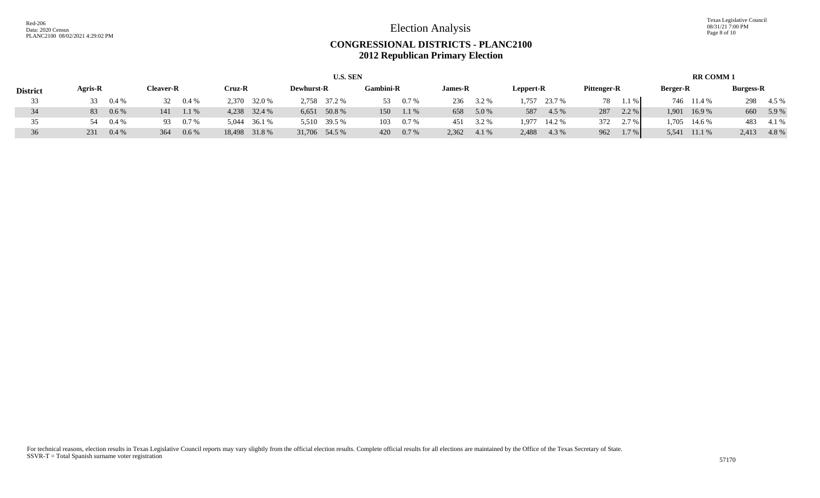Texas Legislative Council 08/31/21 7:00 PM Page 8 of 10

#### **CONGRESSIONAL DISTRICTS - PLANC2100 2012 Republican Primary Election**

| <b>U.S. SEN</b> |         |         |                  |         |        |               |                   |               |                  |         | <b>RR COMM 1</b> |       |           |        |             |        |                 |            |                  |       |
|-----------------|---------|---------|------------------|---------|--------|---------------|-------------------|---------------|------------------|---------|------------------|-------|-----------|--------|-------------|--------|-----------------|------------|------------------|-------|
| <b>District</b> | Agris-R |         | <b>Cleaver-R</b> |         | Cruz-R |               | <b>Dewhurst-R</b> |               | <b>Gambini-R</b> |         | <b>James-R</b>   |       | Leppert-R |        | Pittenger-R |        | <b>Berger-R</b> |            | <b>Burgess-R</b> |       |
| 33              | 33      | $0.4\%$ | 32               | $0.4\%$ | 2.370  | 32.0 %        |                   | 2,758 37.2 %  | 53.              | $0.7\%$ | 236              | 3.2 % | 1,757     | 23.7 % | 78          | $.1\%$ |                 | 746 11.4 % | 298              | 4.5 % |
| 34              | 83      | $0.6\%$ | 141              | 1.1 %   |        | 4,238 32.4 %  |                   | 6,651 50.8 %  | 150              | $1.1\%$ | 658              | 5.0 % | 587       | 4.5 %  | 287         | 2.2%   | 1,901           | 16.9%      | 660              | 5.9%  |
| 35              | -54     | 0.4%    | 93               | $0.7\%$ | 5,044  | 36.1 %        |                   | 5,510 39.5 %  | 103              | 0.7%    | 451              | 3.2 % | 1.977     | 14.2 % | 372         | 2.7 %  | .705            | 14.6 %     | 483              | 4.1 % |
| 36              | 231     | $0.4\%$ | 364              | $0.6\%$ |        | 18,498 31.8 % |                   | 31,706 54.5 % | 420              | 0.7%    | 2,362            | 4.1 % | 2,488     | 4.3 %  | 962         | 1.7%   | 5,541           | 11.1 %     | 2,413            | 4.8%  |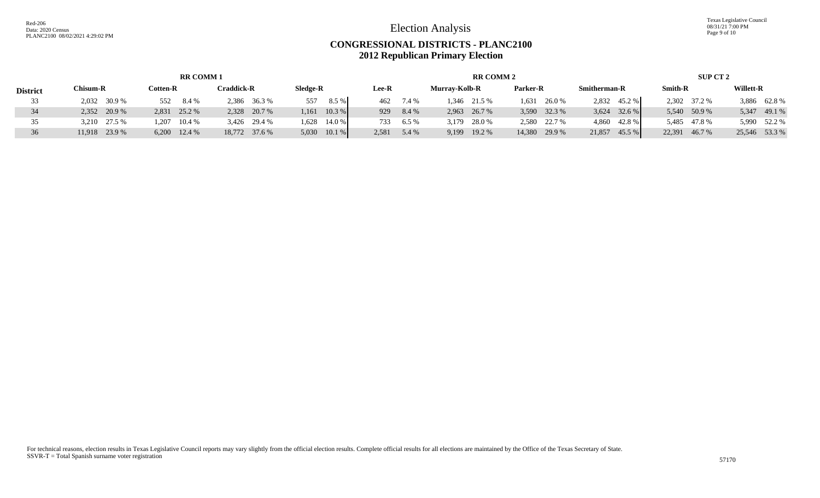Texas Legislative Council 08/31/21 7:00 PM Page 9 of 10

## **CONGRESSIONAL DISTRICTS - PLANC2100 2012 Republican Primary Election**

|                 |               | <b>RR COMM 1</b> |               |                   |               |         | <b>RR COMM 2</b>     |                | SUP CT 2            |                  |                  |  |
|-----------------|---------------|------------------|---------------|-------------------|---------------|---------|----------------------|----------------|---------------------|------------------|------------------|--|
| <b>District</b> | Chisum-R      | Cotten-R         | Craddick-R    | Sledge-R          | Lee-R         |         | <b>Murray-Kolb-R</b> | Parker-R       | <b>Smitherman-R</b> | <b>Smith-R</b>   | <b>Willett-R</b> |  |
| 33              | 2,032 30.9 %  | 552<br>8.4 %     | 2,386 36.3 %  | 8.5 %<br>557      | 462           | 7.4 %   | 1,346 21.5 %         | $1,631$ 26.0 % | 2,832 45.2 %        | 2,302 37.2 %     | 3,886 62.8%      |  |
| 34              | 2,352 20.9 %  | 2,831 25.2 %     | 2,328 20.7 %  | 10.3 %<br>1.161   | 929           | 8.4 %   | 2,963 26.7 %         | 3,590 32.3 %   | 32.6 %<br>3,624     | 5,540 50.9 %     | 5,347 49.1 %     |  |
| 35              | 3,210 27.5 %  | 10.4 %<br>1.207  | 3,426 29.4 %  | 14.0 %<br>1,628   | 733           | $6.5\%$ | 3,179 28.0 %         | 2,580 22.7 %   | 4,860 42.8 %        | 5,485 47.8 %     | 5,990 52.2 %     |  |
| 36              | 11,918 23.9 % | $6,200$ 12.4 %   | 18,772 37.6 % | $10.1\%$<br>5,030 | $2,581$ 5.4 % |         | 19.2 %<br>9,199      | 14,380 29.9 %  | 45.5 %<br>21,857    | 22,391<br>46.7 % | 25,546 53.3 %    |  |